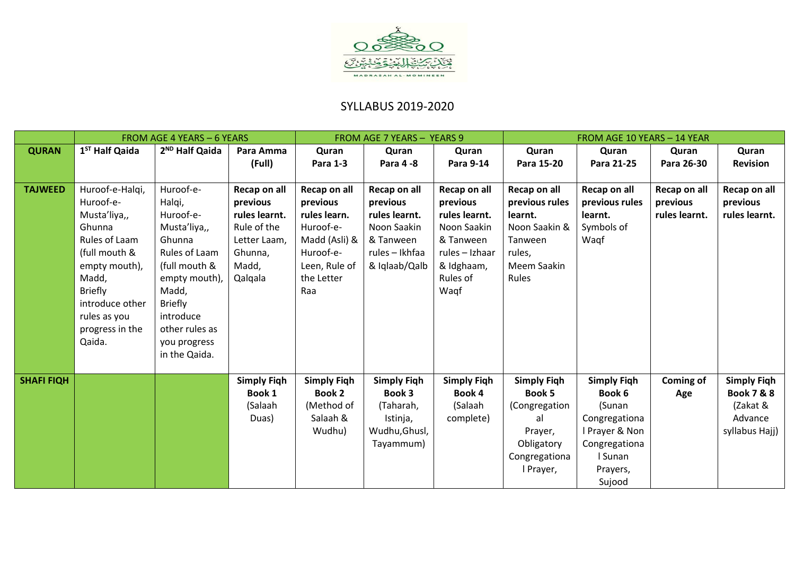

## SYLLABUS 2019-2020

|                   | <b>FROM AGE 4 YEARS - 6 YEARS</b> |                            |                    | FROM AGE 7 YEARS - YEARS 9 |                    |                    | FROM AGE 10 YEARS - 14 YEAR |                    |               |                       |
|-------------------|-----------------------------------|----------------------------|--------------------|----------------------------|--------------------|--------------------|-----------------------------|--------------------|---------------|-----------------------|
| <b>QURAN</b>      | 1 <sup>ST</sup> Half Qaida        | 2 <sup>ND</sup> Half Qaida | Para Amma          | Quran                      | Quran              | Quran              | Quran                       | Quran              | Quran         | Quran                 |
|                   |                                   |                            | (Full)             | <b>Para 1-3</b>            | Para 4-8           | Para 9-14          | Para 15-20                  | Para 21-25         | Para 26-30    | <b>Revision</b>       |
|                   |                                   |                            |                    |                            |                    |                    |                             |                    |               |                       |
| <b>TAJWEED</b>    | Huroof-e-Halgi,                   | Huroof-e-                  | Recap on all       | Recap on all               | Recap on all       | Recap on all       | Recap on all                | Recap on all       | Recap on all  | Recap on all          |
|                   | Huroof-e-                         | Halqi,                     | previous           | previous                   | previous           | previous           | previous rules              | previous rules     | previous      | previous              |
|                   | Musta'liya,,                      | Huroof-e-                  | rules learnt.      | rules learn.               | rules learnt.      | rules learnt.      | learnt.                     | learnt.            | rules learnt. | rules learnt.         |
|                   | Ghunna                            | Musta'liya,,               | Rule of the        | Huroof-e-                  | Noon Saakin        | Noon Saakin        | Noon Saakin &               | Symbols of         |               |                       |
|                   | Rules of Laam                     | Ghunna                     | Letter Laam,       | Madd (Asli) &              | & Tanween          | & Tanween          | Tanween                     | Waqf               |               |                       |
|                   | (full mouth &                     | Rules of Laam              | Ghunna,            | Huroof-e-                  | rules - Ikhfaa     | rules - Izhaar     | rules,                      |                    |               |                       |
|                   | empty mouth),                     | (full mouth &              | Madd,              | Leen, Rule of              | & Iqlaab/Qalb      | & Idghaam,         | Meem Saakin                 |                    |               |                       |
|                   | Madd,                             | empty mouth),              | Qalqala            | the Letter                 |                    | Rules of           | Rules                       |                    |               |                       |
|                   | <b>Briefly</b>                    | Madd,                      |                    | Raa                        |                    | Wagf               |                             |                    |               |                       |
|                   | introduce other                   | <b>Briefly</b>             |                    |                            |                    |                    |                             |                    |               |                       |
|                   | rules as you                      | introduce                  |                    |                            |                    |                    |                             |                    |               |                       |
|                   | progress in the                   | other rules as             |                    |                            |                    |                    |                             |                    |               |                       |
|                   | Qaida.                            | you progress               |                    |                            |                    |                    |                             |                    |               |                       |
|                   |                                   | in the Qaida.              |                    |                            |                    |                    |                             |                    |               |                       |
|                   |                                   |                            |                    |                            |                    |                    |                             |                    |               |                       |
| <b>SHAFI FIQH</b> |                                   |                            | <b>Simply Figh</b> | <b>Simply Figh</b>         | <b>Simply Figh</b> | <b>Simply Figh</b> | <b>Simply Figh</b>          | <b>Simply Figh</b> | Coming of     | <b>Simply Figh</b>    |
|                   |                                   |                            | Book 1             | <b>Book 2</b>              | Book 3             | Book 4             | <b>Book 5</b>               | Book 6             | Age           | <b>Book 7 &amp; 8</b> |
|                   |                                   |                            | (Salaah            | (Method of                 | (Taharah,          | (Salaah            | (Congregation               | (Sunan             |               | (Zakat &              |
|                   |                                   |                            | Duas)              | Salaah &                   | Istinja,           | complete)          | al                          | Congregationa      |               | Advance               |
|                   |                                   |                            |                    | Wudhu)                     | Wudhu, Ghusl,      |                    | Prayer,                     | I Prayer & Non     |               | syllabus Hajj)        |
|                   |                                   |                            |                    |                            | Tayammum)          |                    | Obligatory                  | Congregationa      |               |                       |
|                   |                                   |                            |                    |                            |                    |                    | Congregationa               | I Sunan            |               |                       |
|                   |                                   |                            |                    |                            |                    |                    | I Prayer,                   | Prayers,           |               |                       |
|                   |                                   |                            |                    |                            |                    |                    |                             | Sujood             |               |                       |